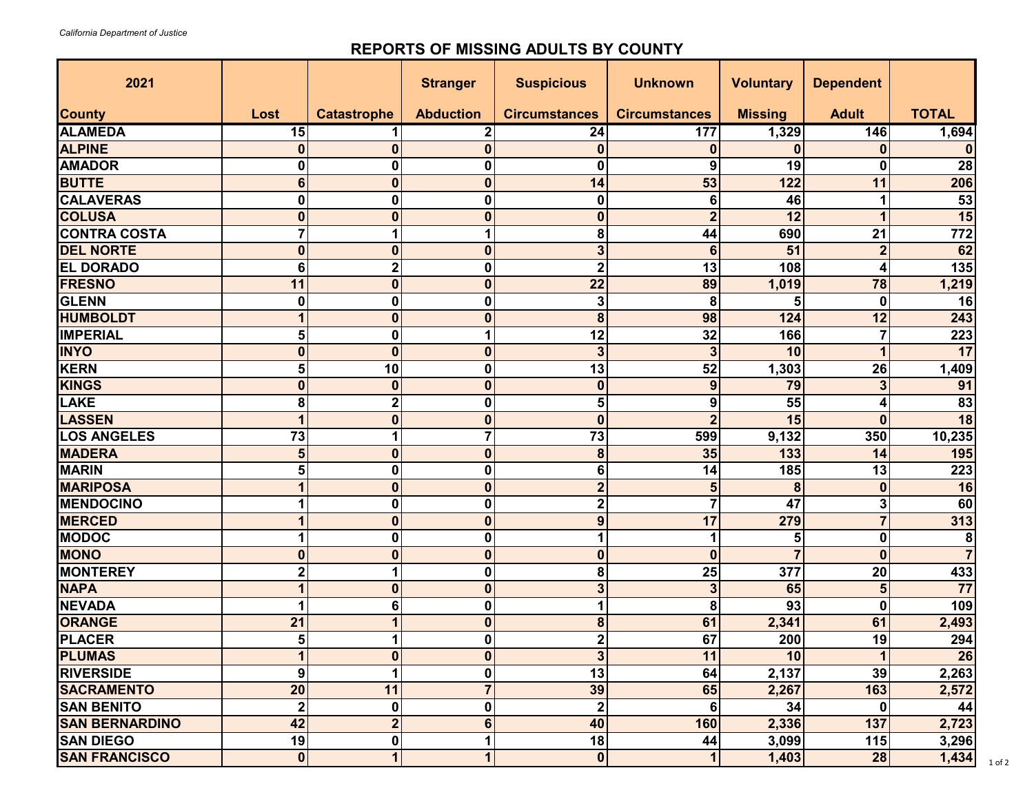## **REPORTS OF MISSING ADULTS BY COUNTY**

| 2021                  |                |                    | <b>Stranger</b>  | <b>Suspicious</b>       | <b>Unknown</b>          | <b>Voluntary</b> | <b>Dependent</b> |                  |
|-----------------------|----------------|--------------------|------------------|-------------------------|-------------------------|------------------|------------------|------------------|
| <b>County</b>         | Lost           | <b>Catastrophe</b> | <b>Abduction</b> | <b>Circumstances</b>    | <b>Circumstances</b>    | <b>Missing</b>   | <b>Adult</b>     | <b>TOTAL</b>     |
| <b>ALAMEDA</b>        | 15             | 1                  | 2                | 24                      | 177                     | 1,329            | 146              | 1,694            |
| <b>ALPINE</b>         | $\mathbf{0}$   | $\mathbf 0$        | 0                | $\bf{0}$                | $\mathbf 0$             | $\bf{0}$         | $\bf{0}$         |                  |
| <b>AMADOR</b>         | 0              | $\mathbf 0$        | 0                | $\mathbf 0$             | 9                       | 19               | $\mathbf{0}$     | $\overline{28}$  |
| <b>BUTTE</b>          | 6              | $\mathbf 0$        | $\bf{0}$         | 14                      | 53                      | 122              | 11               | 206              |
| <b>CALAVERAS</b>      | 0              | $\mathbf 0$        | 0                | $\mathbf 0$             | 6                       | 46               |                  | 53               |
| <b>COLUSA</b>         | $\mathbf{0}$   | $\mathbf 0$        | $\mathbf 0$      | $\bf{0}$                | $\overline{2}$          | $\overline{12}$  | 1                | 15               |
| <b>CONTRA COSTA</b>   | 7              | 1                  |                  | 8                       | 44                      | 690              | 21               | $\overline{772}$ |
| <b>DEL NORTE</b>      | $\bf{0}$       | $\mathbf 0$        | 0                | $\overline{\mathbf{3}}$ | 6                       | 51               | $\overline{2}$   | 62               |
| <b>EL DORADO</b>      | 6              | $\mathbf 2$        | 0                | $\overline{\mathbf{c}}$ | 13                      | 108              | 4                | 135              |
| <b>FRESNO</b>         | 11             | $\mathbf 0$        | $\bf{0}$         | 22                      | 89                      | 1,019            | 78               | 1,219            |
| <b>GLENN</b>          | 0              | $\pmb{0}$          | 0                | 3                       | 8                       | 5                | 0                | 16               |
| <b>HUMBOLDT</b>       | 1              | $\mathbf 0$        | 0                | 8                       | 98                      | 124              | 12               | 243              |
| <b>IMPERIAL</b>       | 5              | $\pmb{0}$          | 1                | 12                      | 32                      | 166              | $\overline{7}$   | 223              |
| <b>INYO</b>           | $\bf{0}$       | $\mathbf 0$        | $\mathbf 0$      | $\overline{\mathbf{3}}$ | $\mathbf{3}$            | 10               | 1                | 17               |
| <b>KERN</b>           | 5              | 10                 | 0                | 13                      | 52                      | 1,303            | 26               | 1,409            |
| <b>KINGS</b>          | $\bf{0}$       | $\mathbf 0$        | $\bf{0}$         | $\bf{0}$                | 9                       | 79               | 3                | 91               |
| <b>LAKE</b>           | 8              | $\mathbf 2$        | 0                | 5                       | 9                       | 55               | 4                | $\overline{83}$  |
| <b>LASSEN</b>         | 1              | $\mathbf 0$        | 0                | $\mathbf 0$             | $\overline{2}$          | 15               | $\bf{0}$         | 18               |
| <b>LOS ANGELES</b>    | 73             | 1                  | 7                | 73                      | 599                     | 9,132            | 350              | 10,235           |
| <b>MADERA</b>         | 5              | $\mathbf 0$        | $\mathbf{0}$     | 8                       | 35                      | 133              | 14               | 195              |
| <b>MARIN</b>          | 5              | $\pmb{0}$          | 0                | 6                       | 14                      | 185              | 13               | 223              |
| <b>MARIPOSA</b>       | 1              | $\mathbf 0$        | $\mathbf{0}$     | $\overline{\mathbf{c}}$ | 5                       | 8                | $\mathbf{0}$     | 16               |
| <b>MENDOCINO</b>      |                | $\mathbf 0$        | 0                | $\mathbf 2$             | $\overline{7}$          | 47               | 3                | 60               |
| <b>MERCED</b>         | 1              | $\mathbf 0$        | 0                | $\mathbf{9}$            | 17                      | 279              | $\overline{7}$   | 313              |
| <b>MODOC</b>          | 1              | $\mathbf 0$        | $\mathbf 0$      | 1                       | 1                       | 5                | $\mathbf 0$      | 8                |
| <b>MONO</b>           | $\bf{0}$       | $\mathbf 0$        | $\mathbf 0$      | $\bf{0}$                | $\boldsymbol{0}$        |                  | $\bf{0}$         |                  |
| <b>MONTEREY</b>       | 2              | 1                  | 0                | 8                       | 25                      | 377              | 20               | 433              |
| <b>NAPA</b>           | 1              | $\mathbf 0$        | $\mathbf{0}$     | $\overline{\mathbf{3}}$ | $\overline{\mathbf{3}}$ | 65               | 5                | $\overline{77}$  |
| <b>NEVADA</b>         | 1              | 6                  | 0                | 1                       | 8                       | 93               | 0                | 109              |
| <b>ORANGE</b>         | 21             | 1                  | 0                | 8                       | 61                      | 2,341            | 61               | 2,493            |
| <b>PLACER</b>         | 5              | 1                  | 0                | $\overline{\mathbf{2}}$ | 67                      | 200              | 19               | 294              |
| <b>PLUMAS</b>         | 1              | $\pmb{0}$          | $\mathbf 0$      | $\mathbf{3}$            | 11                      | 10               | 1                | 26               |
| <b>RIVERSIDE</b>      | 9              | 1                  | 0                | $\overline{13}$         | 64                      | 2,137            | 39               | 2,263            |
| <b>SACRAMENTO</b>     | 20             | 11                 | $\overline{7}$   | 39                      | 65                      | 2,267            | 163              | 2,572            |
| <b>SAN BENITO</b>     | $\overline{2}$ | $\pmb{0}$          | 0                | $\mathbf 2$             | 6                       | 34               | 0                | 44               |
| <b>SAN BERNARDINO</b> | 42             | $\overline{2}$     | 6                | 40                      | 160                     | 2,336            | 137              | 2,723            |
| <b>SAN DIEGO</b>      | 19             | $\pmb{0}$          | 1                | 18                      | 44                      | 3,099            | 115              | 3,296            |
| <b>SAN FRANCISCO</b>  | $\mathbf{0}$   | $\mathbf{1}$       | 1                | $\pmb{0}$               | $\mathbf 1$             | 1,403            | 28               | 1,434            |